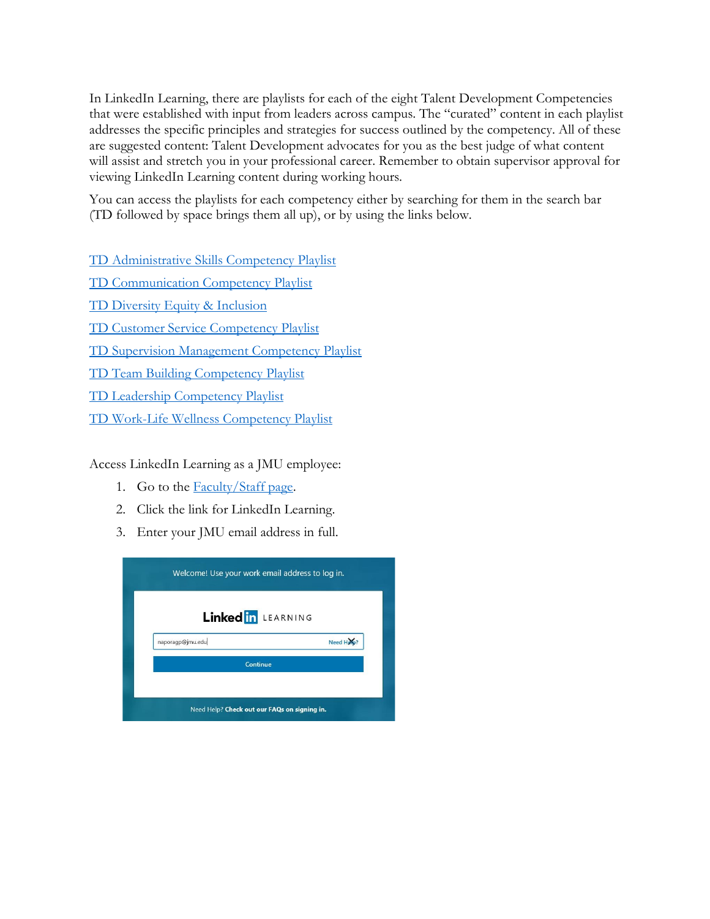In LinkedIn Learning, there are playlists for each of the eight Talent Development Competencies that were established with input from leaders across campus. The "curated" content in each playlist addresses the specific principles and strategies for success outlined by the competency. All of these are suggested content: Talent Development advocates for you as the best judge of what content will assist and stretch you in your professional career. Remember to obtain supervisor approval for viewing LinkedIn Learning content during working hours.

You can access the playlists for each competency either by searching for them in the search bar (TD followed by space brings them all up), or by using the links below.

[TD Administrative Skills Competency Playlist](https://www.linkedin.com/learning-login/share?forceAccount=true&redirect=https%3A%2F%2Fwww.linkedin.com%2Flearning%2Fcollections%2F6647899566974738433%3Ftrk%3Dshare_collection_url&account=50844473)

TD [Communication](https://www.linkedin.com/learning-login/share?forceAccount=true&redirect=https%3A%2F%2Fwww.linkedin.com%2Flearning%2Fcollections%2F6647901603099615232%3Ftrk%3Dshare_collection_url&account=50844473) Competency Playlist

TD Diversity Equity & [Inclusion](https://www.linkedin.com/learning-login/share?account=50844473&forceAccount=true&redirect=https%3A%2F%2Fwww%2Elinkedin%2Ecom%2Flearning%2Fcollections%2Fenterprise%2F1%7EAAAAAAMH0zk%3D956072%3FshareId%3D29e8969f-5e02-4666-ab96-3289f468777e)

TD Customer Service [Competency](https://www.linkedin.com/learning-login/share?forceAccount=true&redirect=https%3A%2F%2Fwww.linkedin.com%2Flearning%2Fcollections%2F6647900563738501120%3Ftrk%3Dshare_collection_url&account=50844473) Playlist

[TD Supervision Management Competency Playlist](https://www.linkedin.com/learning-login/share?forceAccount=true&redirect=https%3A%2F%2Fwww.linkedin.com%2Flearning%2Fcollections%2F6647902818155941888%3Ftrk%3Dshare_collection_url&account=50844473)

TD Team Building [Competency](https://www.linkedin.com/learning-login/share?forceAccount=true&redirect=https%3A%2F%2Fwww.linkedin.com%2Flearning%2Fcollections%2F6647902192177029120%3Ftrk%3Dshare_collection_url&account=50844473) Playlist

TD Leadership [Competency](https://www.linkedin.com/learning-login/share?forceAccount=true&redirect=https%3A%2F%2Fwww.linkedin.com%2Flearning%2Fcollections%2F6647903308973391872%3Ftrk%3Dshare_collection_url&account=50844473) Playlist

[TD Work-Life Wellness Competency Playlist](https://www.linkedin.com/learning-login/share?forceAccount=true&redirect=https%3A%2F%2Fwww.linkedin.com%2Flearning%2Fcollections%2F6647904105312337920%3Ftrk%3Dshare_collection_url&account=50844473)

Access LinkedIn Learning as a JMU employee:

- 1. Go to the **Faculty/Staff** page.
- 2. Click the link for LinkedIn Learning.
- 3. Enter your JMU email address in full.

| Linked in LEARNING |            |
|--------------------|------------|
| naporagp@jmu.edu   | Need Holo? |
|                    | Continue   |